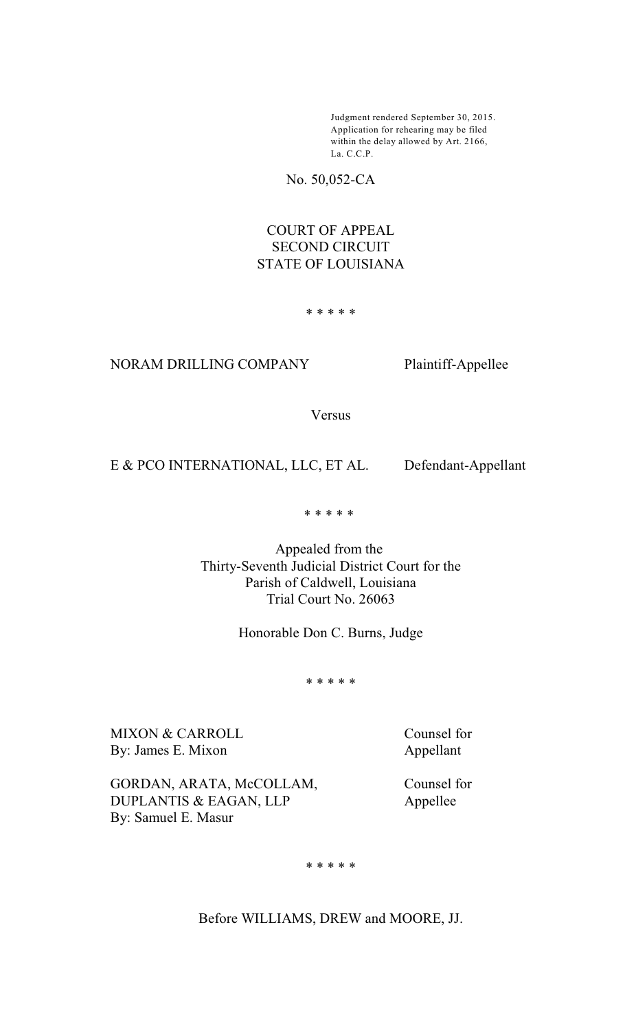Judgment rendered September 30, 2015. Application for rehearing may be filed within the delay allowed by Art. 2166, La. C.C.P.

No. 50,052-CA

## COURT OF APPEAL SECOND CIRCUIT STATE OF LOUISIANA

\* \* \* \* \*

## NORAM DRILLING COMPANY Plaintiff-Appellee

Versus

## E & PCO INTERNATIONAL, LLC, ET AL. Defendant-Appellant

\* \* \* \* \*

Appealed from the Thirty-Seventh Judicial District Court for the Parish of Caldwell, Louisiana Trial Court No. 26063

Honorable Don C. Burns, Judge

\* \* \* \* \*

MIXON & CARROLL Counsel for By: James E. Mixon Appellant

By: Samuel E. Masur

GORDAN, ARATA, McCOLLAM, Counsel for DUPLANTIS & EAGAN, LLP Appellee

\* \* \* \* \*

Before WILLIAMS, DREW and MOORE, JJ.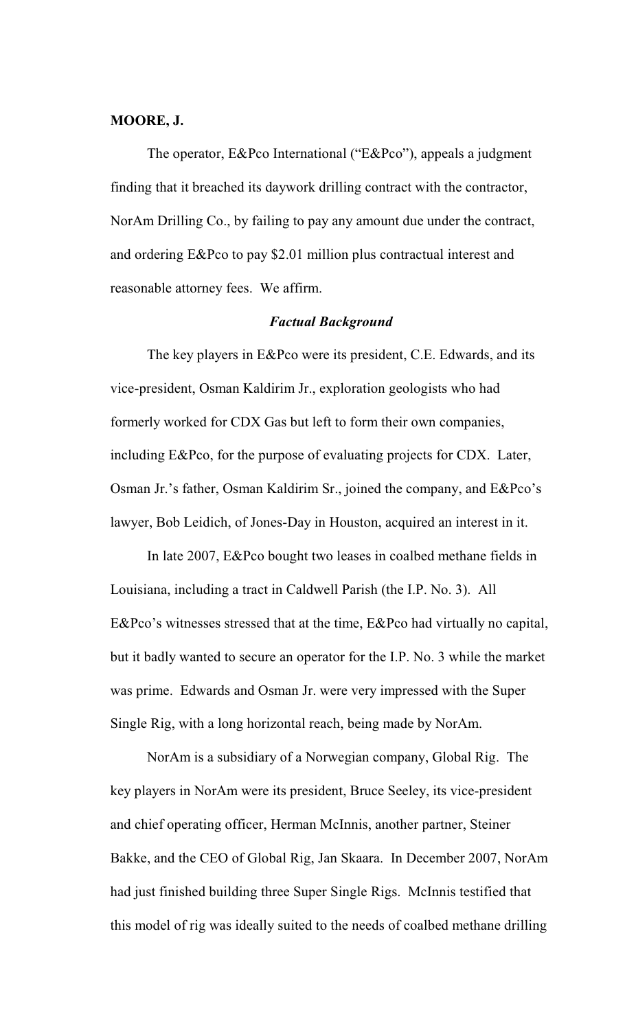#### **MOORE, J.**

The operator, E&Pco International ("E&Pco"), appeals a judgment finding that it breached its daywork drilling contract with the contractor, NorAm Drilling Co., by failing to pay any amount due under the contract, and ordering E&Pco to pay \$2.01 million plus contractual interest and reasonable attorney fees. We affirm.

#### *Factual Background*

The key players in E&Pco were its president, C.E. Edwards, and its vice-president, Osman Kaldirim Jr., exploration geologists who had formerly worked for CDX Gas but left to form their own companies, including E&Pco, for the purpose of evaluating projects for CDX. Later, Osman Jr.'s father, Osman Kaldirim Sr., joined the company, and E&Pco's lawyer, Bob Leidich, of Jones-Day in Houston, acquired an interest in it.

In late 2007, E&Pco bought two leases in coalbed methane fields in Louisiana, including a tract in Caldwell Parish (the I.P. No. 3). All E&Pco's witnesses stressed that at the time, E&Pco had virtually no capital, but it badly wanted to secure an operator for the I.P. No. 3 while the market was prime. Edwards and Osman Jr. were very impressed with the Super Single Rig, with a long horizontal reach, being made by NorAm.

NorAm is a subsidiary of a Norwegian company, Global Rig. The key players in NorAm were its president, Bruce Seeley, its vice-president and chief operating officer, Herman McInnis, another partner, Steiner Bakke, and the CEO of Global Rig, Jan Skaara. In December 2007, NorAm had just finished building three Super Single Rigs. McInnis testified that this model of rig was ideally suited to the needs of coalbed methane drilling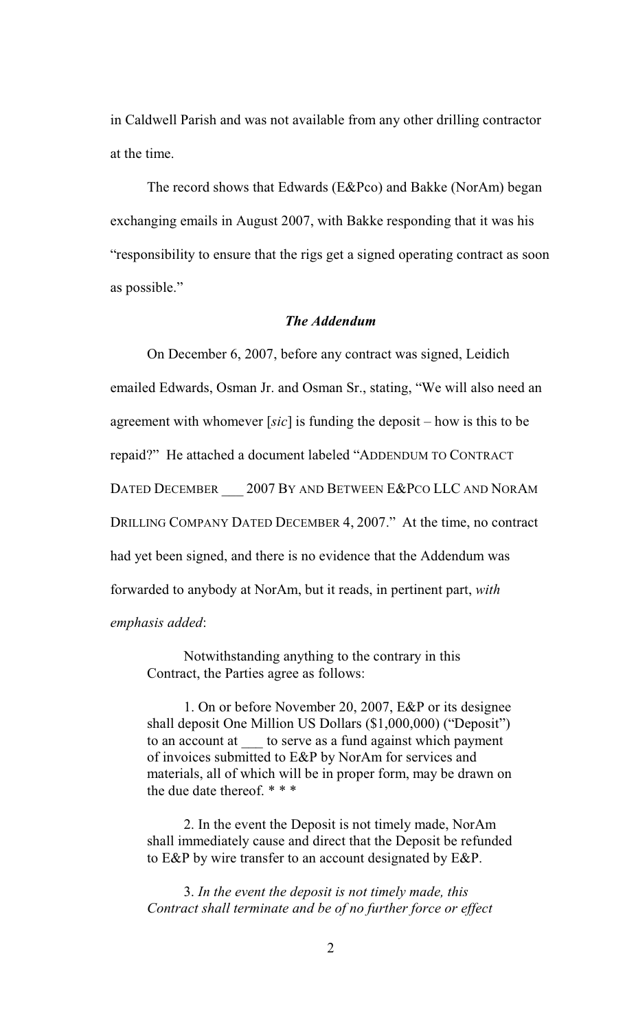in Caldwell Parish and was not available from any other drilling contractor at the time.

The record shows that Edwards (E&Pco) and Bakke (NorAm) began exchanging emails in August 2007, with Bakke responding that it was his "responsibility to ensure that the rigs get a signed operating contract as soon as possible."

## *The Addendum*

On December 6, 2007, before any contract was signed, Leidich emailed Edwards, Osman Jr. and Osman Sr., stating, "We will also need an agreement with whomever [*sic*] is funding the deposit – how is this to be repaid?" He attached a document labeled "ADDENDUM TO CONTRACT DATED DECEMBER 2007 BY AND BETWEEN E&PCO LLC AND NORAM DRILLING COMPANY DATED DECEMBER 4, 2007." At the time, no contract had yet been signed, and there is no evidence that the Addendum was forwarded to anybody at NorAm, but it reads, in pertinent part, *with emphasis added*:

Notwithstanding anything to the contrary in this Contract, the Parties agree as follows:

1. On or before November 20, 2007, E&P or its designee shall deposit One Million US Dollars (\$1,000,000) ("Deposit") to an account at  $\qquad$  to serve as a fund against which payment of invoices submitted to E&P by NorAm for services and materials, all of which will be in proper form, may be drawn on the due date thereof. \* \* \*

2. In the event the Deposit is not timely made, NorAm shall immediately cause and direct that the Deposit be refunded to E&P by wire transfer to an account designated by E&P.

3. *In the event the deposit is not timely made, this Contract shall terminate and be of no further force or effect*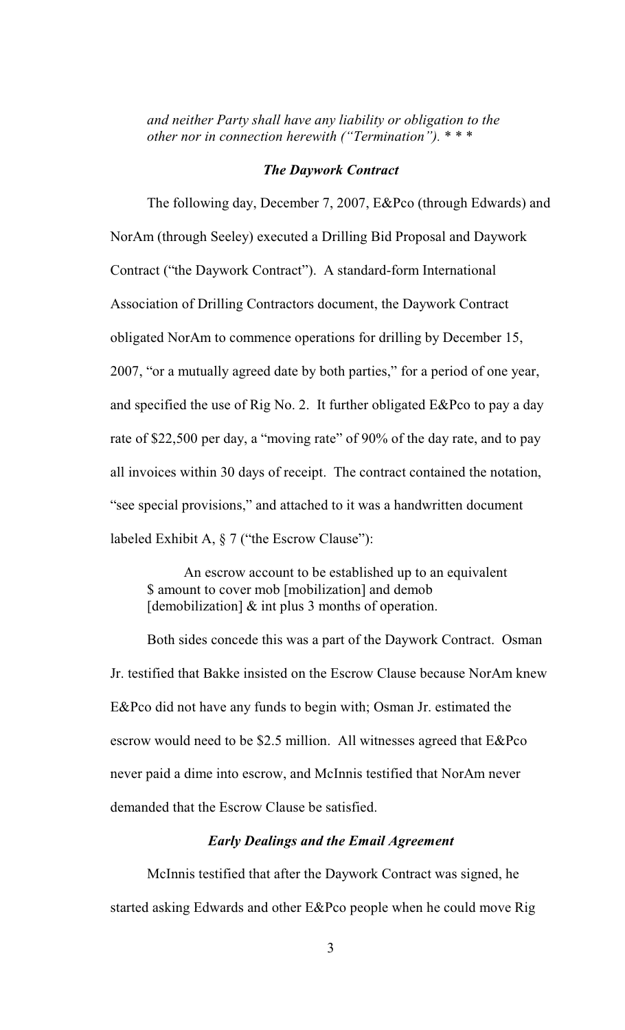*and neither Party shall have any liability or obligation to the other nor in connection herewith ("Termination").* \* \* \*

#### *The Daywork Contract*

The following day, December 7, 2007, E&Pco (through Edwards) and NorAm (through Seeley) executed a Drilling Bid Proposal and Daywork Contract ("the Daywork Contract"). A standard-form International Association of Drilling Contractors document, the Daywork Contract obligated NorAm to commence operations for drilling by December 15, 2007, "or a mutually agreed date by both parties," for a period of one year, and specified the use of Rig No. 2. It further obligated E&Pco to pay a day rate of \$22,500 per day, a "moving rate" of 90% of the day rate, and to pay all invoices within 30 days of receipt. The contract contained the notation, "see special provisions," and attached to it was a handwritten document labeled Exhibit A, § 7 ("the Escrow Clause"):

An escrow account to be established up to an equivalent \$ amount to cover mob [mobilization] and demob  $[demobilization]$  & int plus 3 months of operation.

Both sides concede this was a part of the Daywork Contract. Osman Jr. testified that Bakke insisted on the Escrow Clause because NorAm knew E&Pco did not have any funds to begin with; Osman Jr. estimated the escrow would need to be \$2.5 million. All witnesses agreed that E&Pco never paid a dime into escrow, and McInnis testified that NorAm never demanded that the Escrow Clause be satisfied.

## *Early Dealings and the Email Agreement*

McInnis testified that after the Daywork Contract was signed, he started asking Edwards and other E&Pco people when he could move Rig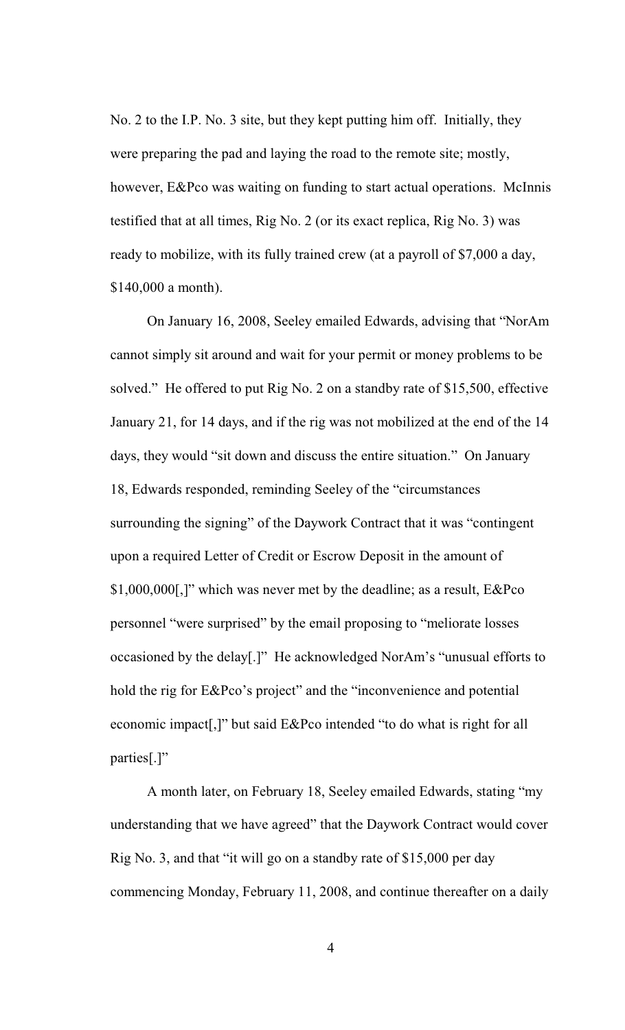No. 2 to the I.P. No. 3 site, but they kept putting him off. Initially, they were preparing the pad and laying the road to the remote site; mostly, however, E&Pco was waiting on funding to start actual operations. McInnis testified that at all times, Rig No. 2 (or its exact replica, Rig No. 3) was ready to mobilize, with its fully trained crew (at a payroll of \$7,000 a day, \$140,000 a month).

On January 16, 2008, Seeley emailed Edwards, advising that "NorAm cannot simply sit around and wait for your permit or money problems to be solved." He offered to put Rig No. 2 on a standby rate of \$15,500, effective January 21, for 14 days, and if the rig was not mobilized at the end of the 14 days, they would "sit down and discuss the entire situation." On January 18, Edwards responded, reminding Seeley of the "circumstances surrounding the signing" of the Daywork Contract that it was "contingent upon a required Letter of Credit or Escrow Deposit in the amount of \$1,000,000[,]" which was never met by the deadline; as a result, E&Pco personnel "were surprised" by the email proposing to "meliorate losses occasioned by the delay[.]" He acknowledged NorAm's "unusual efforts to hold the rig for E&Pco's project" and the "inconvenience and potential economic impact[,]" but said E&Pco intended "to do what is right for all parties[.]"

A month later, on February 18, Seeley emailed Edwards, stating "my understanding that we have agreed" that the Daywork Contract would cover Rig No. 3, and that "it will go on a standby rate of \$15,000 per day commencing Monday, February 11, 2008, and continue thereafter on a daily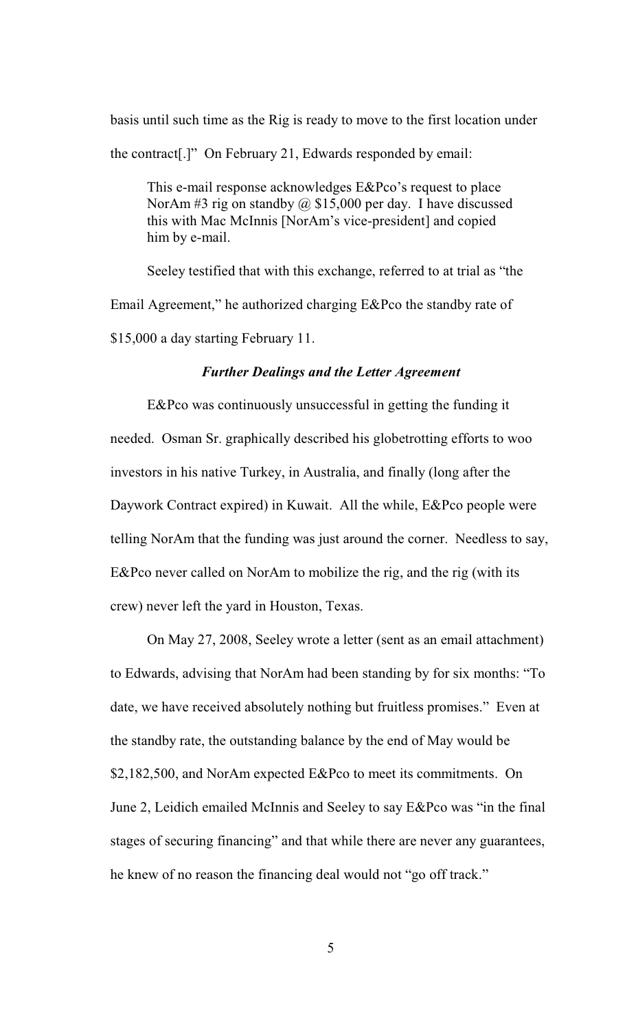basis until such time as the Rig is ready to move to the first location under the contract[.]" On February 21, Edwards responded by email:

This e-mail response acknowledges E&Pco's request to place NorAm #3 rig on standby  $\omega$  \$15,000 per day. I have discussed this with Mac McInnis [NorAm's vice-president] and copied him by e-mail.

Seeley testified that with this exchange, referred to at trial as "the Email Agreement," he authorized charging E&Pco the standby rate of \$15,000 a day starting February 11.

## *Further Dealings and the Letter Agreement*

E&Pco was continuously unsuccessful in getting the funding it needed. Osman Sr. graphically described his globetrotting efforts to woo investors in his native Turkey, in Australia, and finally (long after the Daywork Contract expired) in Kuwait. All the while, E&Pco people were telling NorAm that the funding was just around the corner. Needless to say, E&Pco never called on NorAm to mobilize the rig, and the rig (with its crew) never left the yard in Houston, Texas.

On May 27, 2008, Seeley wrote a letter (sent as an email attachment) to Edwards, advising that NorAm had been standing by for six months: "To date, we have received absolutely nothing but fruitless promises." Even at the standby rate, the outstanding balance by the end of May would be \$2,182,500, and NorAm expected E&Pco to meet its commitments. On June 2, Leidich emailed McInnis and Seeley to say E&Pco was "in the final stages of securing financing" and that while there are never any guarantees, he knew of no reason the financing deal would not "go off track."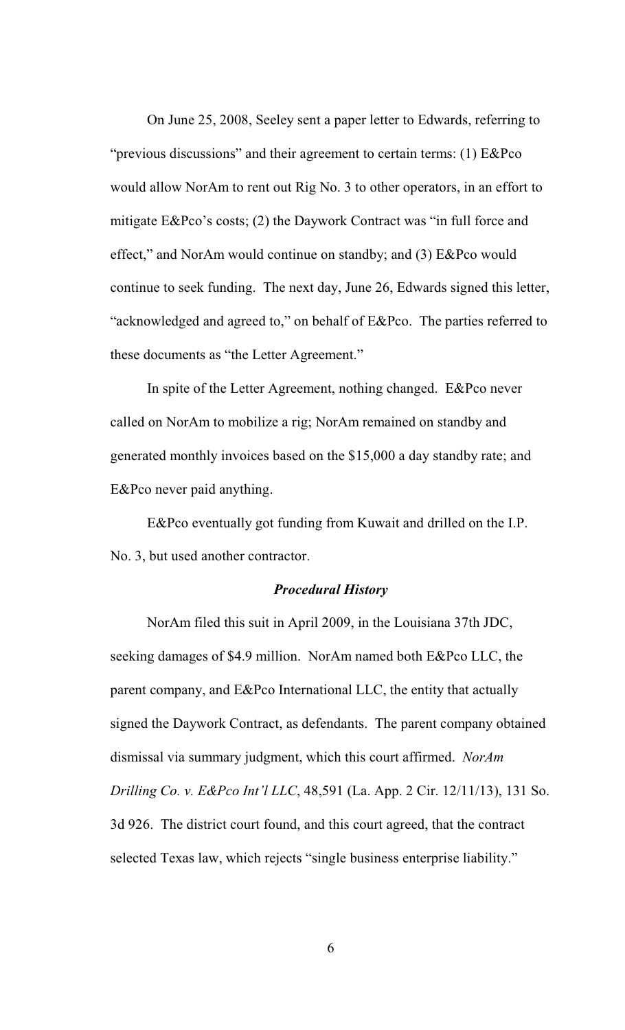On June 25, 2008, Seeley sent a paper letter to Edwards, referring to "previous discussions" and their agreement to certain terms: (1) E&Pco would allow NorAm to rent out Rig No. 3 to other operators, in an effort to mitigate E&Pco's costs; (2) the Daywork Contract was "in full force and effect," and NorAm would continue on standby; and (3) E&Pco would continue to seek funding. The next day, June 26, Edwards signed this letter, "acknowledged and agreed to," on behalf of E&Pco. The parties referred to these documents as "the Letter Agreement."

In spite of the Letter Agreement, nothing changed. E&Pco never called on NorAm to mobilize a rig; NorAm remained on standby and generated monthly invoices based on the \$15,000 a day standby rate; and E&Pco never paid anything.

E&Pco eventually got funding from Kuwait and drilled on the I.P. No. 3, but used another contractor.

#### *Procedural History*

NorAm filed this suit in April 2009, in the Louisiana 37th JDC, seeking damages of \$4.9 million. NorAm named both E&Pco LLC, the parent company, and E&Pco International LLC, the entity that actually signed the Daywork Contract, as defendants. The parent company obtained dismissal via summary judgment, which this court affirmed. *NorAm Drilling Co. v. E&Pco Int'l LLC*, 48,591 (La. App. 2 Cir. 12/11/13), 131 So. 3d 926. The district court found, and this court agreed, that the contract selected Texas law, which rejects "single business enterprise liability."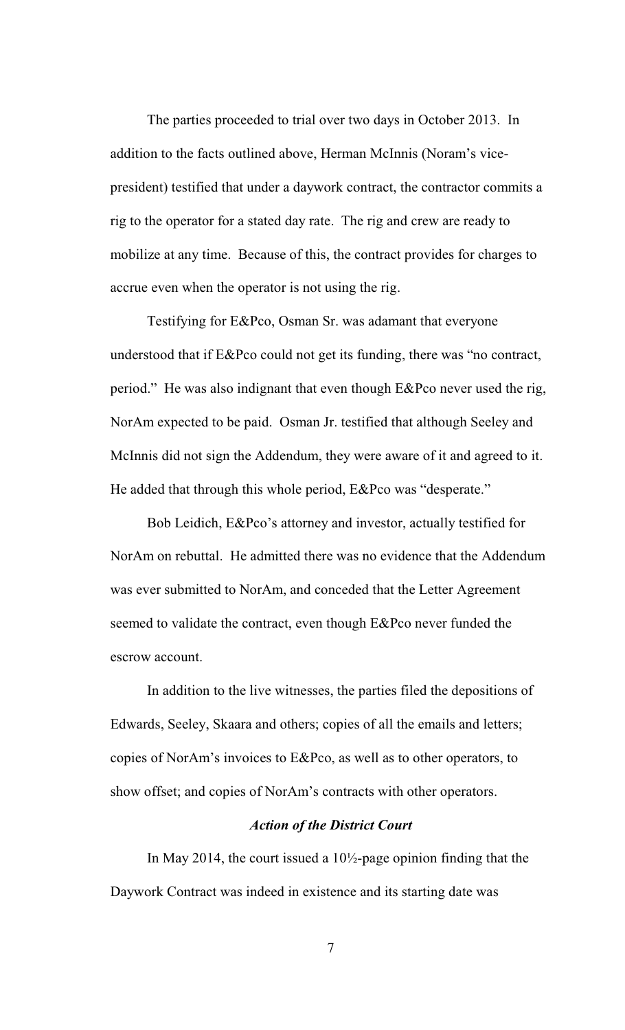The parties proceeded to trial over two days in October 2013. In addition to the facts outlined above, Herman McInnis (Noram's vicepresident) testified that under a daywork contract, the contractor commits a rig to the operator for a stated day rate. The rig and crew are ready to mobilize at any time. Because of this, the contract provides for charges to accrue even when the operator is not using the rig.

Testifying for E&Pco, Osman Sr. was adamant that everyone understood that if E&Pco could not get its funding, there was "no contract, period." He was also indignant that even though E&Pco never used the rig, NorAm expected to be paid. Osman Jr. testified that although Seeley and McInnis did not sign the Addendum, they were aware of it and agreed to it. He added that through this whole period, E&Pco was "desperate."

Bob Leidich, E&Pco's attorney and investor, actually testified for NorAm on rebuttal. He admitted there was no evidence that the Addendum was ever submitted to NorAm, and conceded that the Letter Agreement seemed to validate the contract, even though E&Pco never funded the escrow account.

In addition to the live witnesses, the parties filed the depositions of Edwards, Seeley, Skaara and others; copies of all the emails and letters; copies of NorAm's invoices to E&Pco, as well as to other operators, to show offset; and copies of NorAm's contracts with other operators.

## *Action of the District Court*

In May 2014, the court issued a 10½-page opinion finding that the Daywork Contract was indeed in existence and its starting date was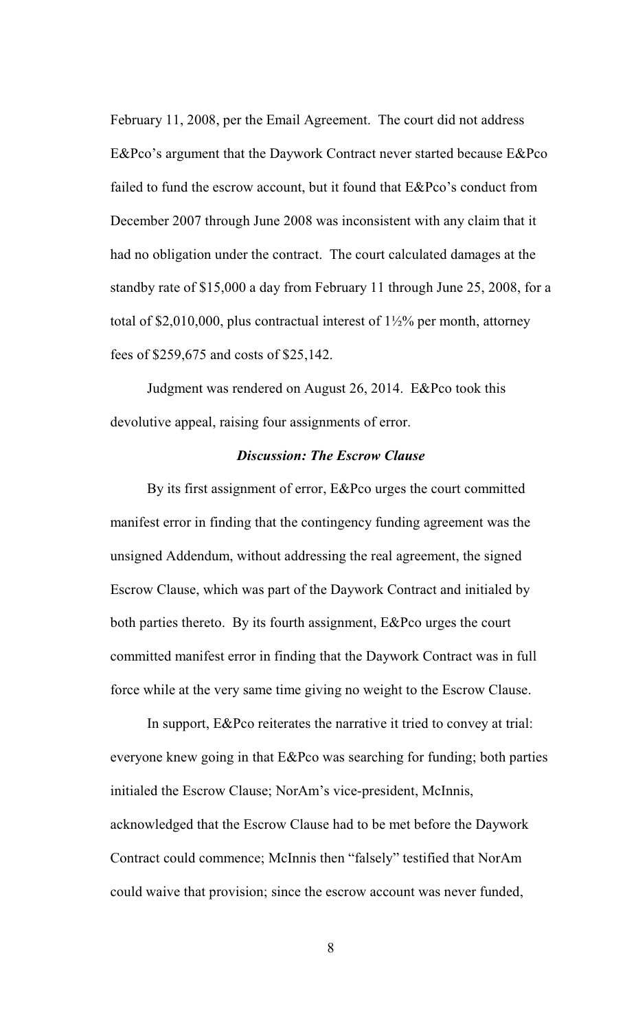February 11, 2008, per the Email Agreement. The court did not address E&Pco's argument that the Daywork Contract never started because E&Pco failed to fund the escrow account, but it found that E&Pco's conduct from December 2007 through June 2008 was inconsistent with any claim that it had no obligation under the contract. The court calculated damages at the standby rate of \$15,000 a day from February 11 through June 25, 2008, for a total of \$2,010,000, plus contractual interest of  $1\frac{1}{2}\%$  per month, attorney fees of \$259,675 and costs of \$25,142.

Judgment was rendered on August 26, 2014. E&Pco took this devolutive appeal, raising four assignments of error.

## *Discussion: The Escrow Clause*

By its first assignment of error, E&Pco urges the court committed manifest error in finding that the contingency funding agreement was the unsigned Addendum, without addressing the real agreement, the signed Escrow Clause, which was part of the Daywork Contract and initialed by both parties thereto. By its fourth assignment, E&Pco urges the court committed manifest error in finding that the Daywork Contract was in full force while at the very same time giving no weight to the Escrow Clause.

In support, E&Pco reiterates the narrative it tried to convey at trial: everyone knew going in that E&Pco was searching for funding; both parties initialed the Escrow Clause; NorAm's vice-president, McInnis, acknowledged that the Escrow Clause had to be met before the Daywork Contract could commence; McInnis then "falsely" testified that NorAm could waive that provision; since the escrow account was never funded,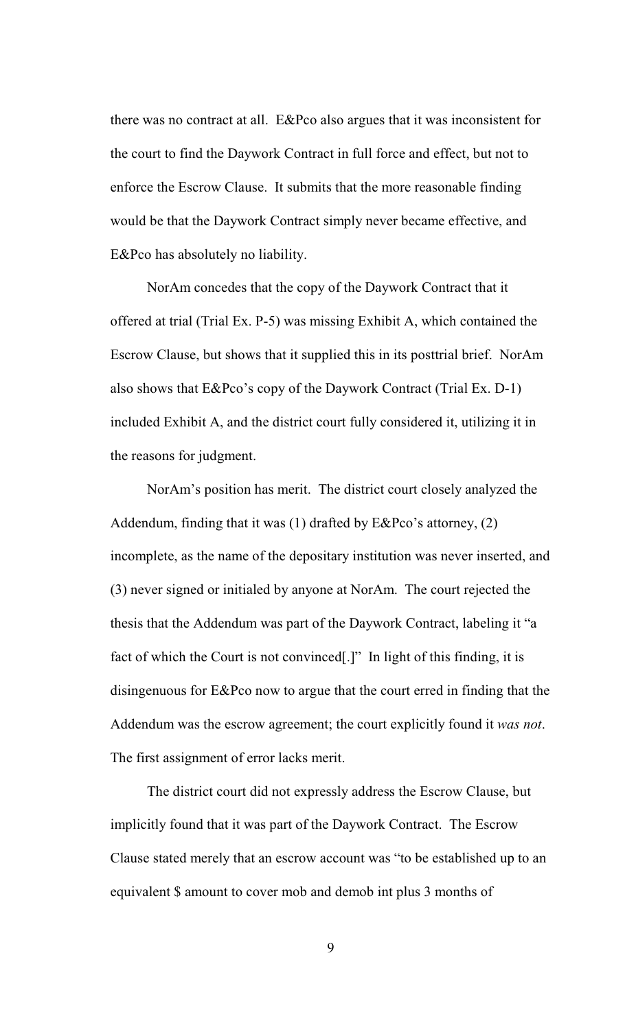there was no contract at all. E&Pco also argues that it was inconsistent for the court to find the Daywork Contract in full force and effect, but not to enforce the Escrow Clause. It submits that the more reasonable finding would be that the Daywork Contract simply never became effective, and E&Pco has absolutely no liability.

NorAm concedes that the copy of the Daywork Contract that it offered at trial (Trial Ex. P-5) was missing Exhibit A, which contained the Escrow Clause, but shows that it supplied this in its posttrial brief. NorAm also shows that E&Pco's copy of the Daywork Contract (Trial Ex. D-1) included Exhibit A, and the district court fully considered it, utilizing it in the reasons for judgment.

NorAm's position has merit. The district court closely analyzed the Addendum, finding that it was (1) drafted by E&Pco's attorney, (2) incomplete, as the name of the depositary institution was never inserted, and (3) never signed or initialed by anyone at NorAm. The court rejected the thesis that the Addendum was part of the Daywork Contract, labeling it "a fact of which the Court is not convinced[.]" In light of this finding, it is disingenuous for E&Pco now to argue that the court erred in finding that the Addendum was the escrow agreement; the court explicitly found it *was not*. The first assignment of error lacks merit.

The district court did not expressly address the Escrow Clause, but implicitly found that it was part of the Daywork Contract. The Escrow Clause stated merely that an escrow account was "to be established up to an equivalent \$ amount to cover mob and demob int plus 3 months of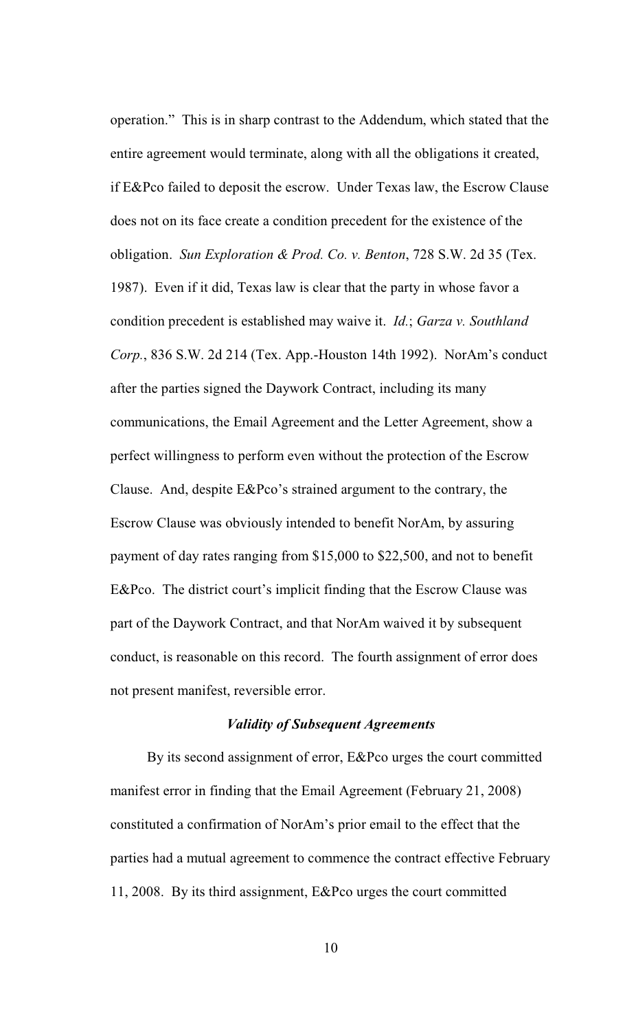operation." This is in sharp contrast to the Addendum, which stated that the entire agreement would terminate, along with all the obligations it created, if E&Pco failed to deposit the escrow. Under Texas law, the Escrow Clause does not on its face create a condition precedent for the existence of the obligation. *Sun Exploration & Prod. Co. v. Benton*, 728 S.W. 2d 35 (Tex. 1987). Even if it did, Texas law is clear that the party in whose favor a condition precedent is established may waive it. *Id.*; *Garza v. Southland Corp.*, 836 S.W. 2d 214 (Tex. App.-Houston 14th 1992). NorAm's conduct after the parties signed the Daywork Contract, including its many communications, the Email Agreement and the Letter Agreement, show a perfect willingness to perform even without the protection of the Escrow Clause. And, despite E&Pco's strained argument to the contrary, the Escrow Clause was obviously intended to benefit NorAm, by assuring payment of day rates ranging from \$15,000 to \$22,500, and not to benefit E&Pco. The district court's implicit finding that the Escrow Clause was part of the Daywork Contract, and that NorAm waived it by subsequent conduct, is reasonable on this record. The fourth assignment of error does not present manifest, reversible error.

### *Validity of Subsequent Agreements*

By its second assignment of error, E&Pco urges the court committed manifest error in finding that the Email Agreement (February 21, 2008) constituted a confirmation of NorAm's prior email to the effect that the parties had a mutual agreement to commence the contract effective February 11, 2008. By its third assignment, E&Pco urges the court committed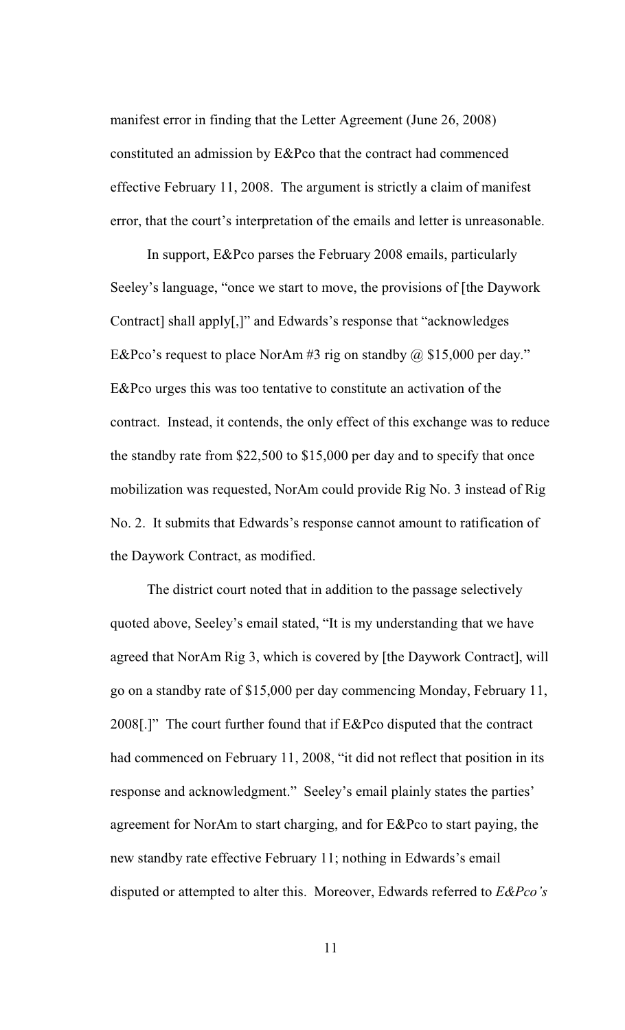manifest error in finding that the Letter Agreement (June 26, 2008) constituted an admission by E&Pco that the contract had commenced effective February 11, 2008. The argument is strictly a claim of manifest error, that the court's interpretation of the emails and letter is unreasonable.

In support, E&Pco parses the February 2008 emails, particularly Seeley's language, "once we start to move, the provisions of [the Daywork Contract] shall apply[,]" and Edwards's response that "acknowledges E&Pco's request to place NorAm #3 rig on standby  $\omega$  \$15,000 per day." E&Pco urges this was too tentative to constitute an activation of the contract. Instead, it contends, the only effect of this exchange was to reduce the standby rate from \$22,500 to \$15,000 per day and to specify that once mobilization was requested, NorAm could provide Rig No. 3 instead of Rig No. 2. It submits that Edwards's response cannot amount to ratification of the Daywork Contract, as modified.

The district court noted that in addition to the passage selectively quoted above, Seeley's email stated, "It is my understanding that we have agreed that NorAm Rig 3, which is covered by [the Daywork Contract], will go on a standby rate of \$15,000 per day commencing Monday, February 11, 2008[.]" The court further found that if E&Pco disputed that the contract had commenced on February 11, 2008, "it did not reflect that position in its response and acknowledgment." Seeley's email plainly states the parties' agreement for NorAm to start charging, and for E&Pco to start paying, the new standby rate effective February 11; nothing in Edwards's email disputed or attempted to alter this. Moreover, Edwards referred to *E&Pco's*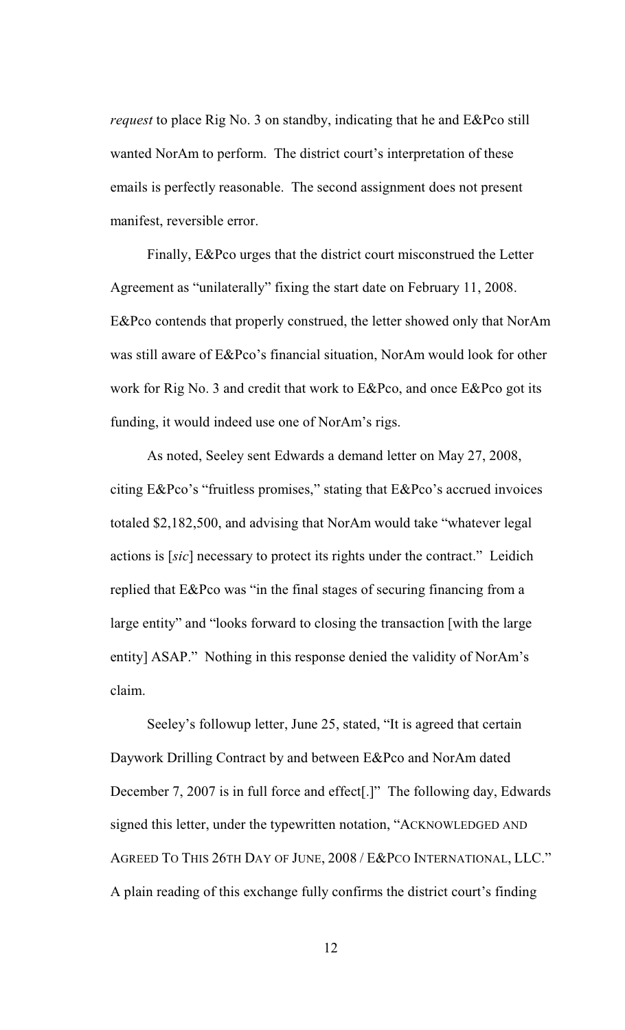*request* to place Rig No. 3 on standby, indicating that he and E&Pco still wanted NorAm to perform. The district court's interpretation of these emails is perfectly reasonable. The second assignment does not present manifest, reversible error.

Finally, E&Pco urges that the district court misconstrued the Letter Agreement as "unilaterally" fixing the start date on February 11, 2008. E&Pco contends that properly construed, the letter showed only that NorAm was still aware of E&Pco's financial situation, NorAm would look for other work for Rig No. 3 and credit that work to E&Pco, and once E&Pco got its funding, it would indeed use one of NorAm's rigs.

As noted, Seeley sent Edwards a demand letter on May 27, 2008, citing E&Pco's "fruitless promises," stating that E&Pco's accrued invoices totaled \$2,182,500, and advising that NorAm would take "whatever legal actions is [*sic*] necessary to protect its rights under the contract." Leidich replied that E&Pco was "in the final stages of securing financing from a large entity" and "looks forward to closing the transaction [with the large entity] ASAP." Nothing in this response denied the validity of NorAm's claim.

Seeley's followup letter, June 25, stated, "It is agreed that certain Daywork Drilling Contract by and between E&Pco and NorAm dated December 7, 2007 is in full force and effect[.]" The following day, Edwards signed this letter, under the typewritten notation, "ACKNOWLEDGED AND AGREED TO THIS 26TH DAY OF JUNE, 2008 / E&PCO INTERNATIONAL, LLC." A plain reading of this exchange fully confirms the district court's finding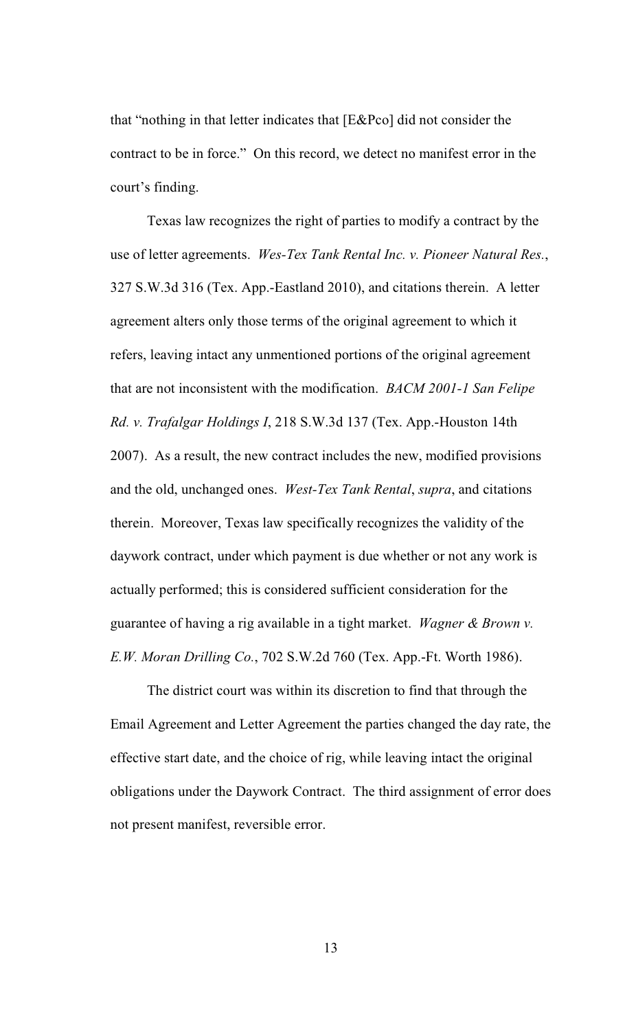that "nothing in that letter indicates that [E&Pco] did not consider the contract to be in force." On this record, we detect no manifest error in the court's finding.

Texas law recognizes the right of parties to modify a contract by the use of letter agreements. *Wes-Tex Tank Rental Inc. v. Pioneer Natural Res.*, 327 S.W.3d 316 (Tex. App.-Eastland 2010), and citations therein. A letter agreement alters only those terms of the original agreement to which it refers, leaving intact any unmentioned portions of the original agreement that are not inconsistent with the modification. *BACM 2001-1 San Felipe Rd. v. Trafalgar Holdings I*, 218 S.W.3d 137 (Tex. App.-Houston 14th 2007). As a result, the new contract includes the new, modified provisions and the old, unchanged ones. *West-Tex Tank Rental*, *supra*, and citations therein. Moreover, Texas law specifically recognizes the validity of the daywork contract, under which payment is due whether or not any work is actually performed; this is considered sufficient consideration for the guarantee of having a rig available in a tight market. *Wagner & Brown v. E.W. Moran Drilling Co.*, 702 S.W.2d 760 (Tex. App.-Ft. Worth 1986).

The district court was within its discretion to find that through the Email Agreement and Letter Agreement the parties changed the day rate, the effective start date, and the choice of rig, while leaving intact the original obligations under the Daywork Contract. The third assignment of error does not present manifest, reversible error.